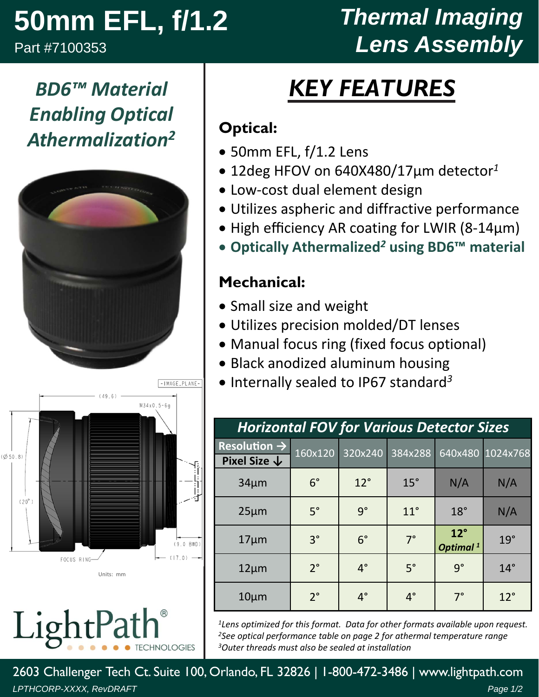# **50mm EFL, f/1.2**

Part #7100353

## *Thermal Imaging Lens Assembly*

### *BD6™ Material Enabling Optical Athermalization2*





LightPa CHNOLOGIES

## *KEY FEATURES*

#### **Optical:**

- 50mm EFL, f/1.2 Lens
- 12deg HFOV on 640X480/17µm detector*<sup>1</sup>*
- Low‐cost dual element design
- Utilizes aspheric and diffractive performance
- High efficiency AR coating for LWIR (8-14µm)
- **Optically Athermalized***<sup>2</sup>* **using BD6™ material**

#### **Mechanical:**

- Small size and weight
- Utilizes precision molded/DT lenses
- Manual focus ring (fixed focus optional)
- Black anodized aluminum housing
- Internally sealed to IP67 standard<sup>3</sup>

| <b>Horizontal FOV for Various Detector Sizes</b> |             |              |              |                                      |                  |  |  |
|--------------------------------------------------|-------------|--------------|--------------|--------------------------------------|------------------|--|--|
| Resolution $\rightarrow$                         | 160x120     | 320x240      | 384x288      |                                      | 640x480 1024x768 |  |  |
| Pixel Size $\downarrow$                          |             |              |              |                                      |                  |  |  |
| $34\mu m$                                        | $6^{\circ}$ | $12^{\circ}$ | $15^\circ$   | N/A                                  | N/A              |  |  |
| $25 \mu m$                                       | $5^\circ$   | q°           | $11^{\circ}$ | $18^\circ$                           | N/A              |  |  |
| $17 \mu m$                                       | $3^{\circ}$ | $6^{\circ}$  | $7^\circ$    | $12^{\circ}$<br>Optimal <sup>1</sup> | $19^\circ$       |  |  |
| $12 \mu m$                                       | $2^{\circ}$ | $4^\circ$    | $5^\circ$    | $9^{\circ}$                          | $14^\circ$       |  |  |
| $10 \mu m$                                       | $2^{\circ}$ | $4^\circ$    | $4^\circ$    | $7^\circ$                            | $12^{\circ}$     |  |  |

*1Lens optimized for this format. Data for other formats available upon request. 2See optical performance table on page 2 for athermal temperature range 3Outer threads must also be sealed at installation*

2603 Challenger Tech Ct. Suite 100, Orlando, FL 32826 | 1-800-472-3486 | www.lightpath.com *LPTHCORP-XXXX, RevDRAFT Page 1/2*